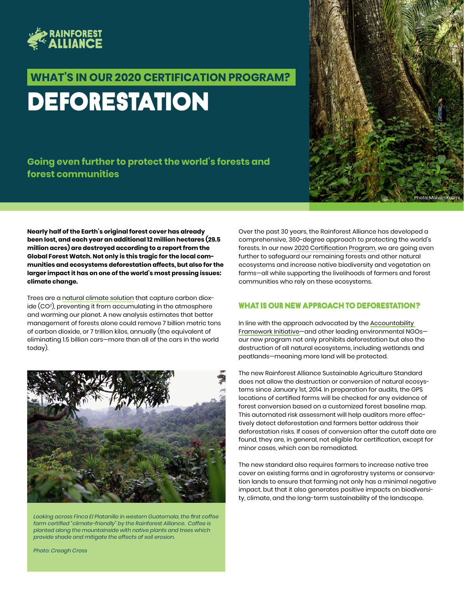

# **DEFORESTATION WHAT'S IN OUR 2020 CERTIFICATION PROGRAM?**

### **Going even further to protect the world's forests and forest communities**



**Nearly half of the Earth's original forest cover has already been lost, and each year an additional 12 million hectares (29.5 million acres) are destroyed according to a report from the Global Forest Watch. Not only is this tragic for the local communities and ecosystems deforestation affects, but also for the larger impact it has on one of the world's most pressing issues: climate change.** 

Trees are a [natural climate solution](https://www.rainforest-alliance.org/article/natural-climate-solutions) that capture carbon dioxide (CO2 ), preventing it from accumulating in the atmosphere and warming our planet. A new analysis estimates that better management of forests alone could remove 7 billion metric tons of carbon dioxide, or 7 trillion kilos, annually (the equivalent of eliminating 1.5 billion cars—more than all of the cars in the world today).



*Looking across Finca El Platanillo in western Guatemala, the first coffee farm certified "climate-friendly" by the Rainforest Alliance. Coffee is planted along the mountainside with native plants and trees which provide shade and mitigate the effects of soil erosion.* 

Over the past 30 years, the Rainforest Alliance has developed a comprehensive, 360-degree approach to protecting the world's forests. In our new [2020 Certification Program](https://www.rainforest-alliance.org/business/sustainable-farming/farm-certification/2020-rainforest-alliance-certification-standard/), we are going even further to safeguard our remaining forests and other natural ecosystems and increase native biodiversity and vegetation on farms—all while supporting the livelihoods of farmers and forest communities who rely on these ecosystems.

#### WHAT IS OUR NEW APPROACH TO DEFORESTATION?

In line with the approach advocated by the [Accountability](https://accountability-framework.org/)  [Framework Initiative](https://accountability-framework.org/)—and other leading environmental NGOs our new program not only prohibits deforestation but also the destruction of all natural ecosystems, including wetlands and peatlands—meaning more land will be protected.

The new Rainforest Alliance Sustainable Agriculture Standard does not allow the destruction or conversion of natural ecosystems since January 1st, 2014. In preparation for audits, the GPS locations of certified farms will be checked for any evidence of forest conversion based on a customized forest baseline map. This automated risk assessment will help auditors more effectively detect deforestation and farmers better address their deforestation risks. If cases of conversion after the cutoff date are found, they are, in general, not eligible for certification, except for minor cases, which can be remediated.

The new standard also requires farmers to increase native tree cover on existing farms and in agroforestry systems or conservation lands to ensure that farming not only has a minimal negative impact, but that it also generates positive impacts on biodiversity, climate, and the long-term sustainability of the landscape.

*Photo: Creagh Cross*